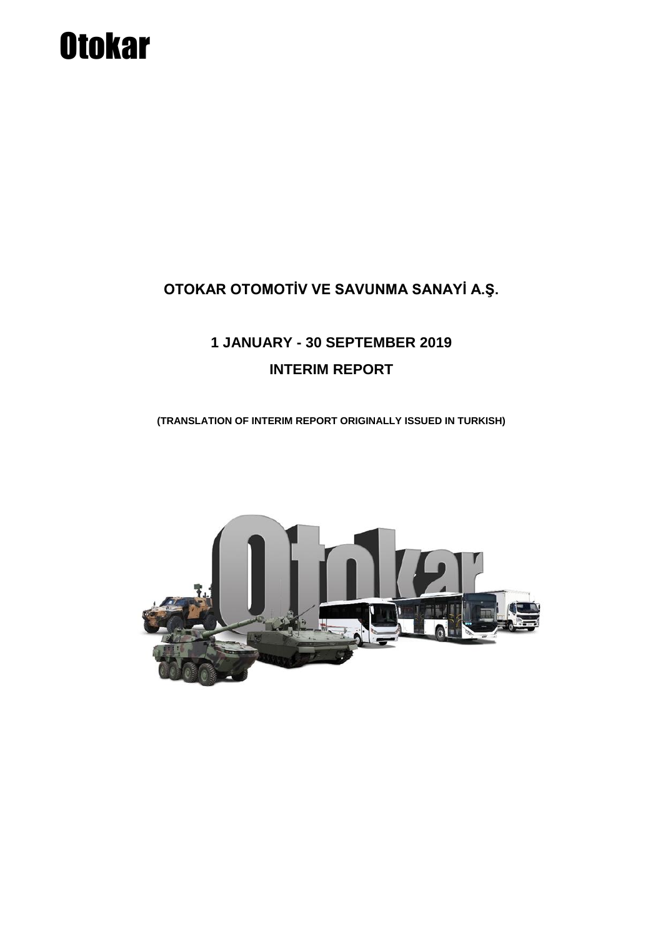# **Otokar**

### **OTOKAR OTOMOTİV VE SAVUNMA SANAYİ A.Ş.**

## **1 JANUARY - 30 SEPTEMBER 2019 INTERIM REPORT**

**(TRANSLATION OF INTERIM REPORT ORIGINALLY ISSUED IN TURKISH)**

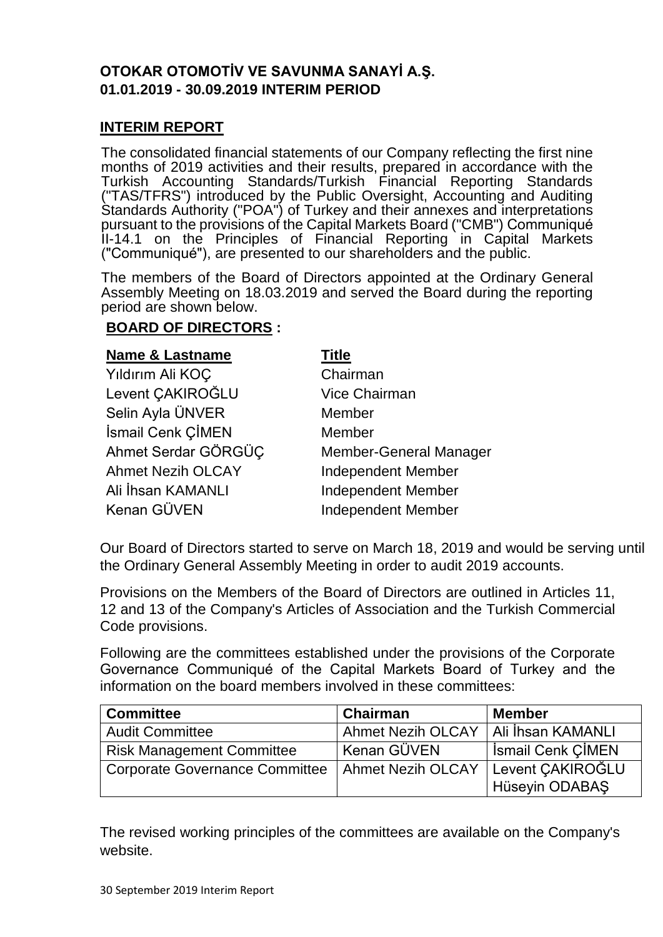#### **OTOKAR OTOMOTİV VE SAVUNMA SANAYİ A.Ş. 01.01.2019 - 30.09.2019 INTERIM PERIOD**

#### **INTERIM REPORT**

The consolidated financial statements of our Company reflecting the first nine months of 2019 activities and their results, prepared in accordance with the Turkish Accounting Standards/Turkish Financial Reporting Standards ("TAS/TFRS") introduced by the Public Oversight, Accounting and Auditing Standards Authority ("POA") of Turkey and their annexes and interpretations pursuant to the provisions of the Capital Markets Board ("CMB") Communiqué II-14.1 on the Principles of Financial Reporting in Capital Markets ("Communiqué"), are presented to our shareholders and the public.

The members of the Board of Directors appointed at the Ordinary General Assembly Meeting on 18.03.2019 and served the Board during the reporting period are shown below.

#### **BOARD OF DIRECTORS :**

#### **Name & Lastname Title**

| Yıldırım Ali KOÇ         | Chairman                      |
|--------------------------|-------------------------------|
| Levent CAKIROĞLU         | <b>Vice Chairman</b>          |
| Selin Ayla ÜNVER         | Member                        |
| İsmail Cenk ÇİMEN        | Member                        |
| Ahmet Serdar GÖRGÜC      | <b>Member-General Manager</b> |
| <b>Ahmet Nezih OLCAY</b> | <b>Independent Member</b>     |
| Ali İhsan KAMANLI        | <b>Independent Member</b>     |
| Kenan GÜVEN              | <b>Independent Member</b>     |

Our Board of Directors started to serve on March 18, 2019 and would be serving until the Ordinary General Assembly Meeting in order to audit 2019 accounts.

Provisions on the Members of the Board of Directors are outlined in Articles 11, 12 and 13 of the Company's Articles of Association and the Turkish Commercial Code provisions.

Following are the committees established under the provisions of the Corporate Governance Communiqué of the Capital Markets Board of Turkey and the information on the board members involved in these committees:

| <b>Committee</b>                                   | Chairman                 | <b>Member</b>            |
|----------------------------------------------------|--------------------------|--------------------------|
| <b>Audit Committee</b>                             | <b>Ahmet Nezih OLCAY</b> | Ali İhsan KAMANLI        |
| <b>Risk Management Committee</b>                   | ' Kenan GÜVEN            | <b>Ismail Cenk CIMEN</b> |
| Corporate Governance Committee   Ahmet Nezih OLCAY |                          | Levent CAKIROĞLU         |
|                                                    |                          | Hüseyin ODABAŞ           |

The revised working principles of the committees are available on the Company's website.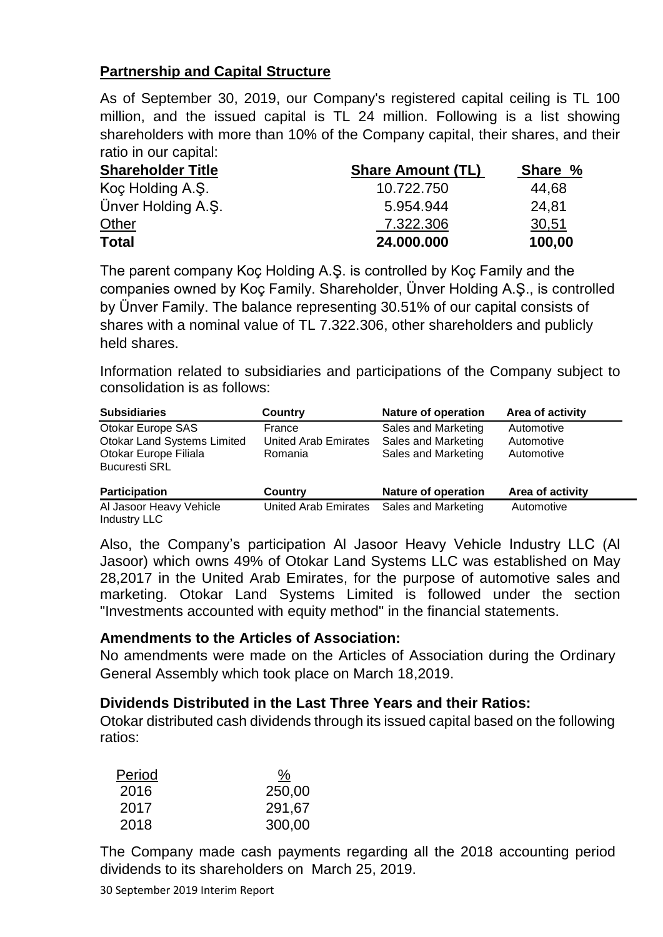#### **Partnership and Capital Structure**

As of September 30, 2019, our Company's registered capital ceiling is TL 100 million, and the issued capital is TL 24 million. Following is a list showing shareholders with more than 10% of the Company capital, their shares, and their ratio in our capital:

| <b>Shareholder Title</b> | <b>Share Amount (TL)</b> | Share % |
|--------------------------|--------------------------|---------|
| Koç Holding A.Ş.         | 10.722.750               | 44,68   |
| Ünver Holding A.S.       | 5.954.944                | 24,81   |
| <b>Other</b>             | 7.322.306                | 30,51   |
| <b>Total</b>             | 24.000.000               | 100,00  |

The parent company Koç Holding A.Ş. is controlled by Koç Family and the companies owned by Koç Family. Shareholder, Ünver Holding A.Ş., is controlled by Ünver Family. The balance representing 30.51% of our capital consists of shares with a nominal value of TL 7.322.306, other shareholders and publicly held shares.

Information related to subsidiaries and participations of the Company subject to consolidation is as follows:

| <b>Subsidiaries</b>                            | Country                     | <b>Nature of operation</b> | Area of activity |
|------------------------------------------------|-----------------------------|----------------------------|------------------|
| Otokar Europe SAS                              | France                      | Sales and Marketing        | Automotive       |
| <b>Otokar Land Systems Limited</b>             | <b>United Arab Emirates</b> | Sales and Marketing        | Automotive       |
| Otokar Europe Filiala                          | Romania                     | Sales and Marketing        | Automotive       |
| <b>Bucuresti SRL</b>                           |                             |                            |                  |
| <b>Participation</b>                           | <b>Country</b>              | <b>Nature of operation</b> | Area of activity |
| Al Jasoor Heavy Vehicle<br><b>Industry LLC</b> | <b>United Arab Emirates</b> | Sales and Marketing        | Automotive       |

Also, the Company's participation Al Jasoor Heavy Vehicle Industry LLC (Al Jasoor) which owns 49% of Otokar Land Systems LLC was established on May 28,2017 in the United Arab Emirates, for the purpose of automotive sales and marketing. Otokar Land Systems Limited is followed under the section "Investments accounted with equity method" in the financial statements.

#### **Amendments to the Articles of Association:**

No amendments were made on the Articles of Association during the Ordinary General Assembly which took place on March 18,2019.

#### **Dividends Distributed in the Last Three Years and their Ratios:**

Otokar distributed cash dividends through its issued capital based on the following ratios:

| Period | %      |
|--------|--------|
| 2016   | 250,00 |
| 2017   | 291,67 |
| 2018   | 300,00 |

The Company made cash payments regarding all the 2018 accounting period dividends to its shareholders on March 25, 2019.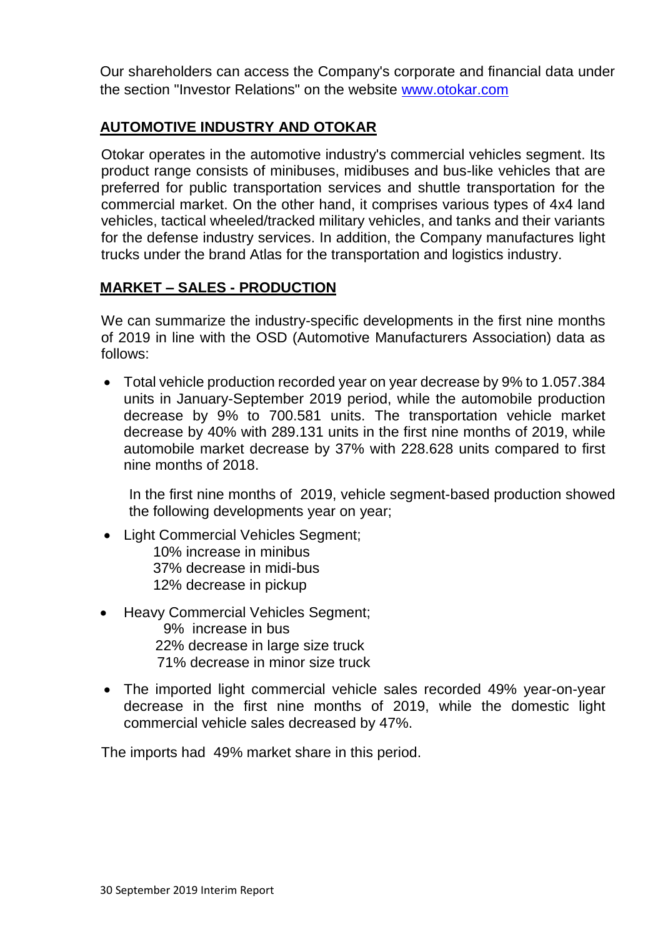Our shareholders can access the Company's corporate and financial data under the section "Investor Relations" on the website [www.otokar.com](http://www.otokar.com/)

#### **AUTOMOTIVE INDUSTRY AND OTOKAR**

Otokar operates in the automotive industry's commercial vehicles segment. Its product range consists of minibuses, midibuses and bus-like vehicles that are preferred for public transportation services and shuttle transportation for the commercial market. On the other hand, it comprises various types of 4x4 land vehicles, tactical wheeled/tracked military vehicles, and tanks and their variants for the defense industry services. In addition, the Company manufactures light trucks under the brand Atlas for the transportation and logistics industry.

#### **MARKET – SALES - PRODUCTION**

We can summarize the industry-specific developments in the first nine months of 2019 in line with the OSD (Automotive Manufacturers Association) data as follows:

 Total vehicle production recorded year on year decrease by 9% to 1.057.384 units in January-September 2019 period, while the automobile production decrease by 9% to 700.581 units. The transportation vehicle market decrease by 40% with 289.131 units in the first nine months of 2019, while automobile market decrease by 37% with 228.628 units compared to first nine months of 2018.

In the first nine months of 2019, vehicle segment-based production showed the following developments year on year;

- Light Commercial Vehicles Segment; 10% increase in minibus 37% decrease in midi-bus 12% decrease in pickup
- Heavy Commercial Vehicles Segment;
	- 9% increase in bus 22% decrease in large size truck 71% decrease in minor size truck
- The imported light commercial vehicle sales recorded 49% year-on-year decrease in the first nine months of 2019, while the domestic light commercial vehicle sales decreased by 47%.

The imports had 49% market share in this period.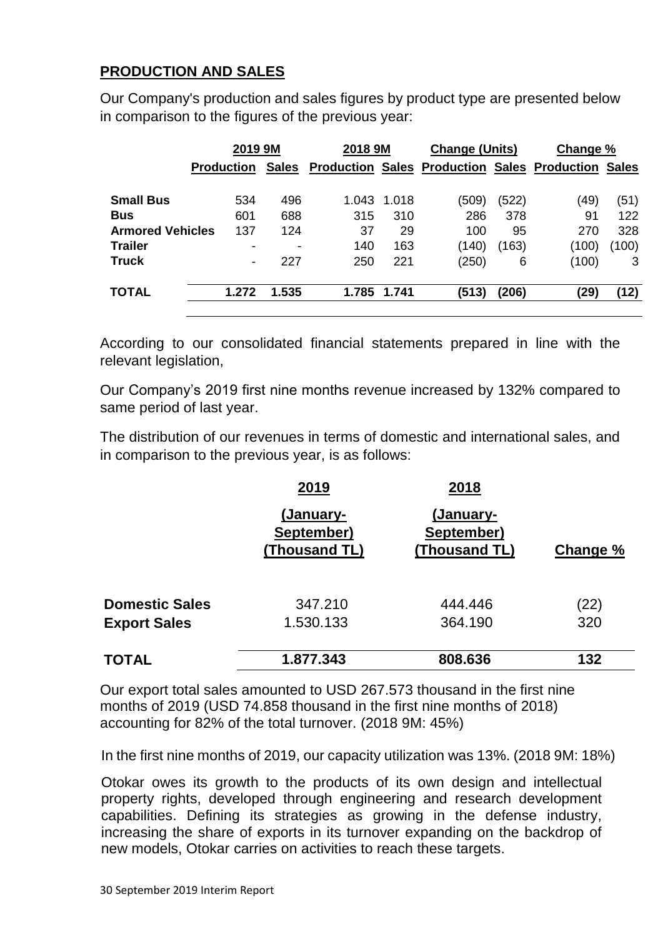#### **PRODUCTION AND SALES**

Our Company's production and sales figures by product type are presented below in comparison to the figures of the previous year:

| 2019 9M                 |                          | 2018 9M      |       | <b>Change (Units)</b> |                                                     | Change % |       |              |
|-------------------------|--------------------------|--------------|-------|-----------------------|-----------------------------------------------------|----------|-------|--------------|
|                         | <b>Production</b>        | <b>Sales</b> |       |                       | <b>Production Sales Production Sales Production</b> |          |       | <b>Sales</b> |
| <b>Small Bus</b>        | 534                      | 496          | 1.043 | 1.018                 | (509)                                               | (522)    | (49)  | (51)         |
| <b>Bus</b>              | 601                      | 688          | 315   | 310                   | 286                                                 | 378      | 91    | 122          |
| <b>Armored Vehicles</b> | 137                      | 124          | 37    | 29                    | 100                                                 | 95       | 270   | 328          |
| <b>Trailer</b>          | -                        | ۰            | 140   | 163                   | (140)                                               | (163)    | (100) | (100)        |
| <b>Truck</b>            | $\overline{\phantom{0}}$ | 227          | 250   | 221                   | (250)                                               | 6        | (100) | 3            |
| <b>TOTAL</b>            | 1.272                    | 1.535        | 1.785 | 1.741                 | (513)                                               | (206)    | (29)  | (12)         |

According to our consolidated financial statements prepared in line with the relevant legislation,

Our Company's 2019 first nine months revenue increased by 132% compared to same period of last year.

The distribution of our revenues in terms of domestic and international sales, and in comparison to the previous year, is as follows:

|                       | 2019                                     | 2018                                     |          |
|-----------------------|------------------------------------------|------------------------------------------|----------|
|                       | (January-<br>September)<br>(Thousand TL) | (January-<br>September)<br>(Thousand TL) | Change % |
| <b>Domestic Sales</b> | 347.210                                  | 444.446                                  | (22)     |
| <b>Export Sales</b>   | 1.530.133                                | 364.190                                  | 320      |
| <b>TOTAL</b>          | 1.877.343                                | 808.636                                  | 132      |

Our export total sales amounted to USD 267.573 thousand in the first nine months of 2019 (USD 74.858 thousand in the first nine months of 2018) accounting for 82% of the total turnover. (2018 9M: 45%)

In the first nine months of 2019, our capacity utilization was 13%. (2018 9M: 18%)

Otokar owes its growth to the products of its own design and intellectual property rights, developed through engineering and research development capabilities. Defining its strategies as growing in the defense industry, increasing the share of exports in its turnover expanding on the backdrop of new models, Otokar carries on activities to reach these targets.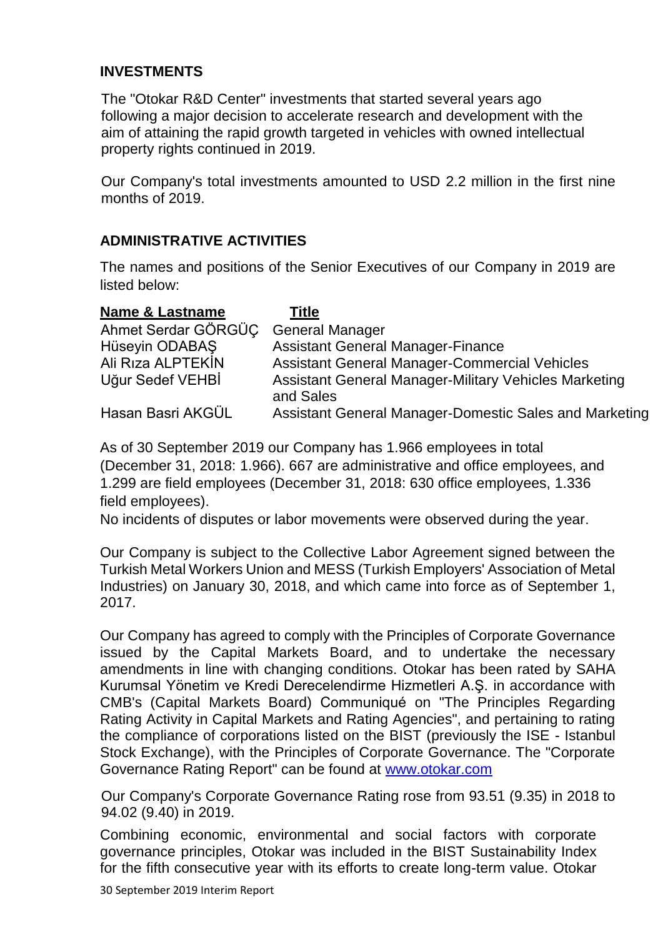#### **INVESTMENTS**

The "Otokar R&D Center" investments that started several years ago following a major decision to accelerate research and development with the aim of attaining the rapid growth targeted in vehicles with owned intellectual property rights continued in 2019.

Our Company's total investments amounted to USD 2.2 million in the first nine months of 2019.

#### **ADMINISTRATIVE ACTIVITIES**

The names and positions of the Senior Executives of our Company in 2019 are listed below:

| <b>Name &amp; Lastname</b> | Title                                                                     |
|----------------------------|---------------------------------------------------------------------------|
| Ahmet Serdar GÖRGÜC        | <b>General Manager</b>                                                    |
| Hüseyin ODABAŞ             | <b>Assistant General Manager-Finance</b>                                  |
| Ali Riza ALPTEKIN          | <b>Assistant General Manager-Commercial Vehicles</b>                      |
| Uğur Sedef VEHBİ           | <b>Assistant General Manager-Military Vehicles Marketing</b><br>and Sales |
| Hasan Basri AKGÜL          | Assistant General Manager-Domestic Sales and Marketing                    |

As of 30 September 2019 our Company has 1.966 employees in total (December 31, 2018: 1.966). 667 are administrative and office employees, and 1.299 are field employees (December 31, 2018: 630 office employees, 1.336 field employees).

No incidents of disputes or labor movements were observed during the year.

Our Company is subject to the Collective Labor Agreement signed between the Turkish Metal Workers Union and MESS (Turkish Employers' Association of Metal Industries) on January 30, 2018, and which came into force as of September 1, 2017.

Our Company has agreed to comply with the Principles of Corporate Governance issued by the Capital Markets Board, and to undertake the necessary amendments in line with changing conditions. Otokar has been rated by SAHA Kurumsal Yönetim ve Kredi Derecelendirme Hizmetleri A.Ş. in accordance with CMB's (Capital Markets Board) Communiqué on "The Principles Regarding Rating Activity in Capital Markets and Rating Agencies", and pertaining to rating the compliance of corporations listed on the BIST (previously the ISE - Istanbul Stock Exchange), with the Principles of Corporate Governance. The "Corporate Governance Rating Report" can be found at [www.otokar.com](http://www.otokar.com/)

Our Company's Corporate Governance Rating rose from 93.51 (9.35) in 2018 to 94.02 (9.40) in 2019.

Combining economic, environmental and social factors with corporate governance principles, Otokar was included in the BIST Sustainability Index for the fifth consecutive year with its efforts to create long-term value. Otokar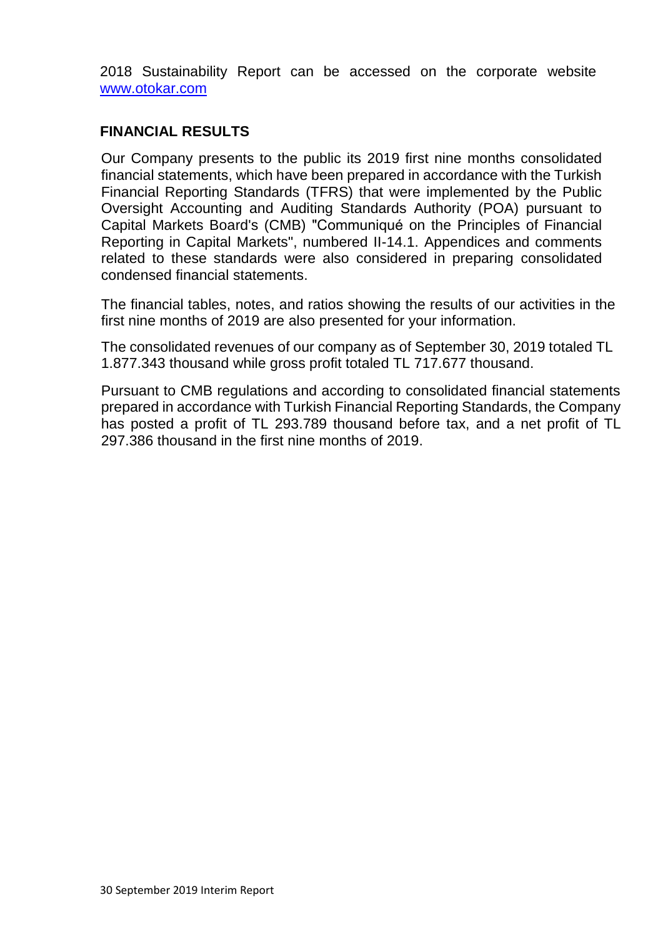2018 Sustainability Report can be accessed on the corporate website [www.otokar.com](http://www.otokar.com/)

#### **FINANCIAL RESULTS**

Our Company presents to the public its 2019 first nine months consolidated financial statements, which have been prepared in accordance with the Turkish Financial Reporting Standards (TFRS) that were implemented by the Public Oversight Accounting and Auditing Standards Authority (POA) pursuant to Capital Markets Board's (CMB) "Communiqué on the Principles of Financial Reporting in Capital Markets", numbered II-14.1. Appendices and comments related to these standards were also considered in preparing consolidated condensed financial statements.

The financial tables, notes, and ratios showing the results of our activities in the first nine months of 2019 are also presented for your information.

The consolidated revenues of our company as of September 30, 2019 totaled TL 1.877.343 thousand while gross profit totaled TL 717.677 thousand.

Pursuant to CMB regulations and according to consolidated financial statements prepared in accordance with Turkish Financial Reporting Standards, the Company has posted a profit of TL 293.789 thousand before tax, and a net profit of TL 297.386 thousand in the first nine months of 2019.